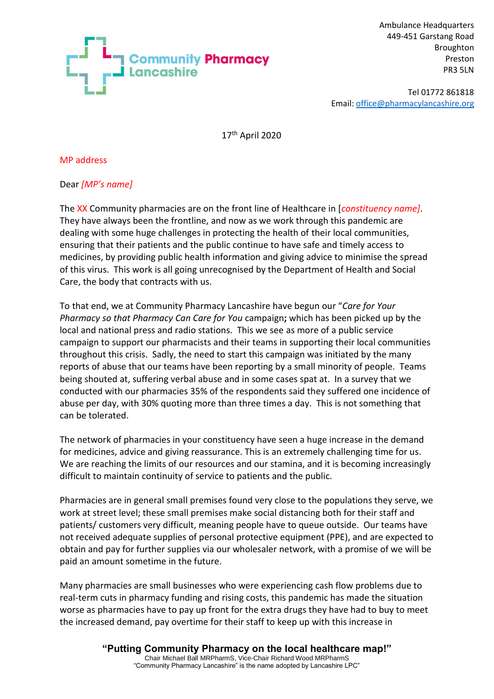

Ambulance Headquarters 449-451 Garstang Road Broughton Preston PR3 5LN

Tel 01772 861818 Email: [office@pharmacylancashire.org](mailto:office@pharmacylancashire.org)

17th April 2020

MP address

## Dear *[MP's name]*

The XX Community pharmacies are on the front line of Healthcare in [*constituency name]*. They have always been the frontline, and now as we work through this pandemic are dealing with some huge challenges in protecting the health of their local communities, ensuring that their patients and the public continue to have safe and timely access to medicines, by providing public health information and giving advice to minimise the spread of this virus. This work is all going unrecognised by the Department of Health and Social Care, the body that contracts with us.

To that end, we at Community Pharmacy Lancashire have begun our "*Care for Your Pharmacy so that Pharmacy Can Care for You* campaign**;** which has been picked up by the local and national press and radio stations. This we see as more of a public service campaign to support our pharmacists and their teams in supporting their local communities throughout this crisis. Sadly, the need to start this campaign was initiated by the many reports of abuse that our teams have been reporting by a small minority of people. Teams being shouted at, suffering verbal abuse and in some cases spat at. In a survey that we conducted with our pharmacies 35% of the respondents said they suffered one incidence of abuse per day, with 30% quoting more than three times a day. This is not something that can be tolerated.

The network of pharmacies in your constituency have seen a huge increase in the demand for medicines, advice and giving reassurance. This is an extremely challenging time for us. We are reaching the limits of our resources and our stamina, and it is becoming increasingly difficult to maintain continuity of service to patients and the public.

Pharmacies are in general small premises found very close to the populations they serve, we work at street level; these small premises make social distancing both for their staff and patients/ customers very difficult, meaning people have to queue outside. Our teams have not received adequate supplies of personal protective equipment (PPE), and are expected to obtain and pay for further supplies via our wholesaler network, with a promise of we will be paid an amount sometime in the future.

Many pharmacies are small businesses who were experiencing cash flow problems due to real-term cuts in pharmacy funding and rising costs, this pandemic has made the situation worse as pharmacies have to pay up front for the extra drugs they have had to buy to meet the increased demand, pay overtime for their staff to keep up with this increase in